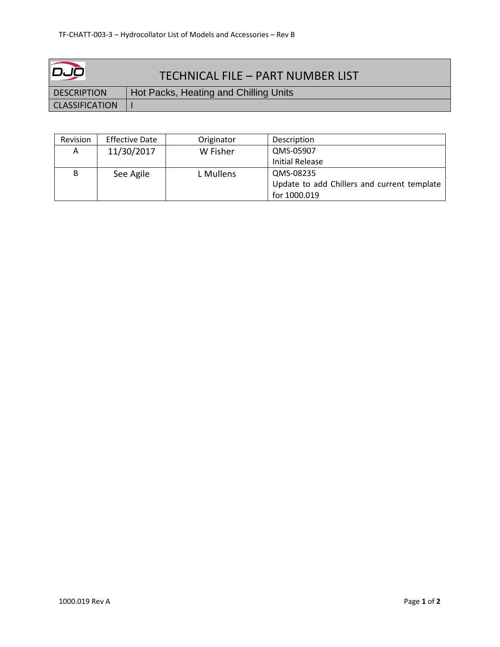| عیص                   | TECHNICAL FILE - PART NUMBER LIST     |
|-----------------------|---------------------------------------|
| <b>DESCRIPTION</b>    | Hot Packs, Heating and Chilling Units |
| <b>CLASSIFICATION</b> |                                       |

| Revision | <b>Effective Date</b> | Originator | Description                                 |
|----------|-----------------------|------------|---------------------------------------------|
| Α        | 11/30/2017            | W Fisher   | QMS-05907                                   |
|          |                       |            | <b>Initial Release</b>                      |
| В        | See Agile             | L Mullens  | QMS-08235                                   |
|          |                       |            | Update to add Chillers and current template |
|          |                       |            | for 1000.019                                |